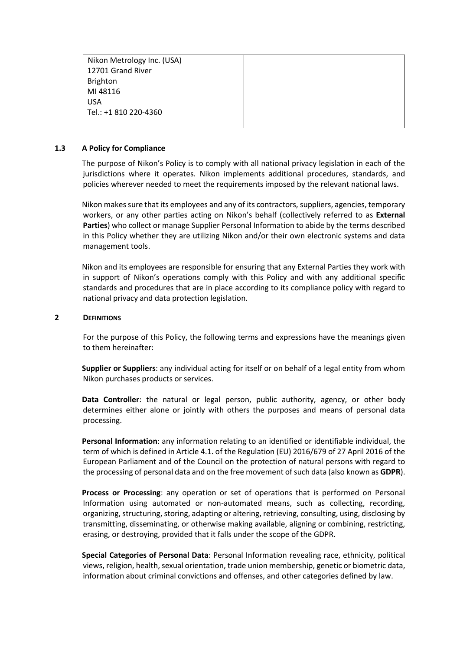Nikon Metrology Inc. (USA) 12701 Gr Brighton MI 4811 USA  $Tel.: +18$ 

| - - -<br>rand River |  |
|---------------------|--|
|                     |  |
| 6                   |  |
| 310 220-4360        |  |

# 1.3 A Policy for Compliance

The purpose of Nikon's Policy is to comply with all national privacy legislation in each of the jurisdictions where it operates. Nikon implements additional procedures, standards, and policies wherever needed to meet the requirements imposed by the relevant national laws.

Nikon makes sure that its employees and any of its contractors, suppliers, agencies, temporary workers, or any other parties acting on Nikon's behalf (collectively referred to as External Parties) who collect or manage Supplier Personal Information to abide by the terms described in this Policy whether they are utilizing Nikon and/or their own electronic systems and data management tools.

Nikon and its employees are responsible for ensuring that any External Parties they work with in support of Nikon's operations comply with this Policy and with any additional specific standards and procedures that are in place according to its compliance policy with regard to national privacy and data protection legislation.

# 2 DEFINITIONS

For the purpose of this Policy, the following terms and expressions have the meanings given to them hereinafter:

Supplier or Suppliers: any individual acting for itself or on behalf of a legal entity from whom Nikon purchases products or services.

Data Controller: the natural or legal person, public authority, agency, or other body determines either alone or jointly with others the purposes and means of personal data processing.

Personal Information: any information relating to an identified or identifiable individual, the term of which is defined in Article 4.1. of the Regulation (EU) 2016/679 of 27 April 2016 of the European Parliament and of the Council on the protection of natural persons with regard to the processing of personal data and on the free movement of such data (also known as GDPR).

Process or Processing: any operation or set of operations that is performed on Personal Information using automated or non-automated means, such as collecting, recording, organizing, structuring, storing, adapting or altering, retrieving, consulting, using, disclosing by transmitting, disseminating, or otherwise making available, aligning or combining, restricting, erasing, or destroying, provided that it falls under the scope of the GDPR.

Special Categories of Personal Data: Personal Information revealing race, ethnicity, political views, religion, health, sexual orientation, trade union membership, genetic or biometric data, information about criminal convictions and offenses, and other categories defined by law.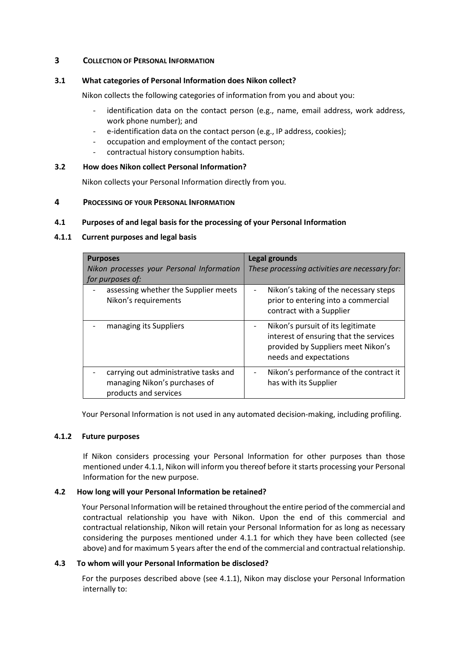# 3 COLLECTION OF PERSONAL INFORMATION

# 3.1 What categories of Personal Information does Nikon collect?

Nikon collects the following categories of information from you and about you:

- identification data on the contact person (e.g., name, email address, work address, work phone number); and
- e-identification data on the contact person (e.g., IP address, cookies);
- occupation and employment of the contact person;
- contractual history consumption habits.

# 3.2 How does Nikon collect Personal Information?

Nikon collects your Personal Information directly from you.

### 4 PROCESSING OF YOUR PERSONAL INFORMATION

### 4.1 Purposes of and legal basis for the processing of your Personal Information

# 4.1.1 Current purposes and legal basis

| <b>Purposes</b>                                                                                 | <b>Legal grounds</b>                                                                                                                        |
|-------------------------------------------------------------------------------------------------|---------------------------------------------------------------------------------------------------------------------------------------------|
| Nikon processes your Personal Information                                                       | These processing activities are necessary for:                                                                                              |
| for purposes of:                                                                                |                                                                                                                                             |
| assessing whether the Supplier meets<br>Nikon's requirements                                    | Nikon's taking of the necessary steps<br>$\qquad \qquad -$<br>prior to entering into a commercial<br>contract with a Supplier               |
| managing its Suppliers                                                                          | Nikon's pursuit of its legitimate<br>interest of ensuring that the services<br>provided by Suppliers meet Nikon's<br>needs and expectations |
| carrying out administrative tasks and<br>managing Nikon's purchases of<br>products and services | Nikon's performance of the contract it<br>has with its Supplier                                                                             |

Your Personal Information is not used in any automated decision-making, including profiling.

### 4.1.2 Future purposes

If Nikon considers processing your Personal Information for other purposes than those mentioned under 4.1.1, Nikon will inform you thereof before it starts processing your Personal Information for the new purpose.

# 4.2 How long will your Personal Information be retained?

Your Personal Information will be retained throughout the entire period of the commercial and contractual relationship you have with Nikon. Upon the end of this commercial and contractual relationship, Nikon will retain your Personal Information for as long as necessary considering the purposes mentioned under 4.1.1 for which they have been collected (see above) and for maximum 5 years after the end of the commercial and contractual relationship.

# 4.3 To whom will your Personal Information be disclosed?

For the purposes described above (see 4.1.1), Nikon may disclose your Personal Information internally to: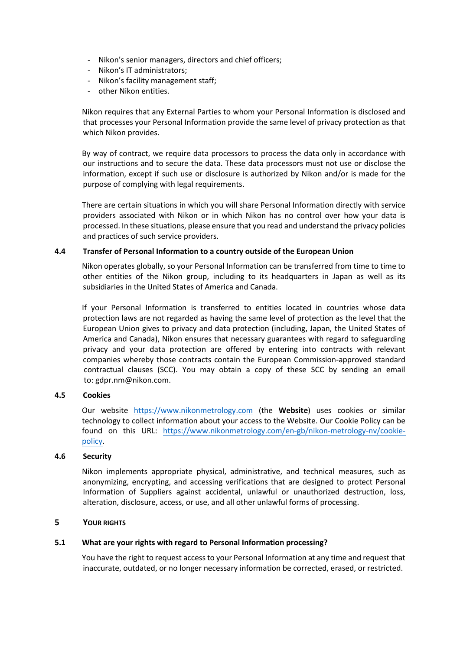- Nikon's senior managers, directors and chief officers;
- Nikon's IT administrators;
- Nikon's facility management staff;
- other Nikon entities.

Nikon requires that any External Parties to whom your Personal Information is disclosed and that processes your Personal Information provide the same level of privacy protection as that which Nikon provides.

By way of contract, we require data processors to process the data only in accordance with our instructions and to secure the data. These data processors must not use or disclose the information, except if such use or disclosure is authorized by Nikon and/or is made for the purpose of complying with legal requirements.

There are certain situations in which you will share Personal Information directly with service providers associated with Nikon or in which Nikon has no control over how your data is processed. In these situations, please ensure that you read and understand the privacy policies and practices of such service providers.

#### 4.4 Transfer of Personal Information to a country outside of the European Union

Nikon operates globally, so your Personal Information can be transferred from time to time to other entities of the Nikon group, including to its headquarters in Japan as well as its subsidiaries in the United States of America and Canada.

If your Personal Information is transferred to entities located in countries whose data protection laws are not regarded as having the same level of protection as the level that the European Union gives to privacy and data protection (including, Japan, the United States of America and Canada), Nikon ensures that necessary guarantees with regard to safeguarding privacy and your data protection are offered by entering into contracts with relevant companies whereby those contracts contain the European Commission-approved standard contractual clauses (SCC). You may obtain a copy of these SCC by sending an email to: gdpr.nm@nikon.com.

#### 4.5 Cookies

Our website https://www.nikonmetrology.com (the Website) uses cookies or similar technology to collect information about your access to the Website. Our Cookie Policy can be found on this URL: https://www.nikonmetrology.com/en-gb/nikon-metrology-nv/cookiepolicy.

#### 4.6 **Security**

Nikon implements appropriate physical, administrative, and technical measures, such as anonymizing, encrypting, and accessing verifications that are designed to protect Personal Information of Suppliers against accidental, unlawful or unauthorized destruction, loss, alteration, disclosure, access, or use, and all other unlawful forms of processing.

#### 5 YOUR RIGHTS

#### 5.1 What are your rights with regard to Personal Information processing?

You have the right to request access to your Personal Information at any time and request that inaccurate, outdated, or no longer necessary information be corrected, erased, or restricted.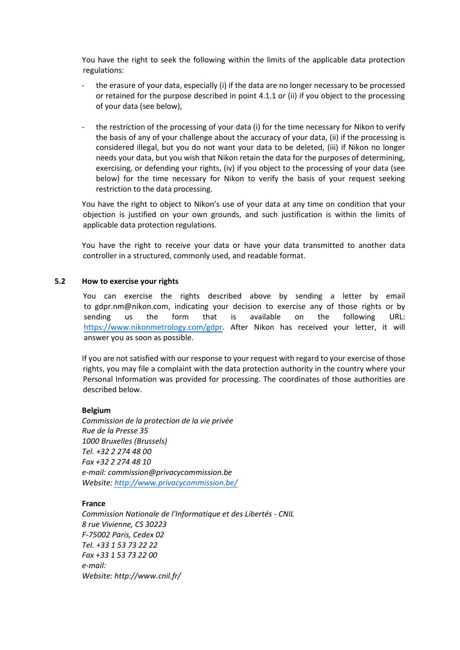You have the right to seek the following within the limits of the applicable data protection regulations:

- the erasure of your data, especially (i) if the data are no longer necessary to be processed or retained for the purpose described in point 4.1.1 or (ii) if you object to the processing of your data (see below),
- the restriction of the processing of your data (i) for the time necessary for Nikon to verify the basis of any of your challenge about the accuracy of your data, (ii) if the processing is considered illegal, but you do not want your data to be deleted, (iii) if Nikon no longer needs your data, but you wish that Nikon retain the data for the purposes of determining, exercising, or defending your rights, (iv) if you object to the processing of your data (see below) for the time necessary for Nikon to verify the basis of your request seeking restriction to the data processing.

You have the right to object to Nikon's use of your data at any time on condition that your objection is justified on your own grounds, and such justification is within the limits of applicable data protection regulations.

You have the right to receive your data or have your data transmitted to another data controller in a structured, commonly used, and readable format.

#### 5.2 How to exercise your rights

You can exercise the rights described above by sending a letter by email to gdpr.nm@nikon.com, indicating your decision to exercise any of those rights or by sending us the form that is available on the following URL: https://www.nikonmetrology.com/gdpr. After Nikon has received your letter, it will answer you as soon as possible.

If you are not satisfied with our response to your request with regard to your exercise of those rights, you may file a complaint with the data protection authority in the country where your Personal Information was provided for processing. The coordinates of those authorities are described below.

# Belgium

Commission de la protection de la vie privée Rue de la Presse 35 1000 Bruxelles (Brussels) Tel. +32 2 274 48 00 Fax +32 2 274 48 10 e-mail: commission@privacycommission.be Website: http://www.privacycommission.be/

### France

Commission Nationale de l'Informatique et des Libertés - CNIL 8 rue Vivienne, CS 30223 F-75002 Paris, Cedex 02 Tel. +33 1 53 73 22 22 Fax +33 1 53 73 22 00 e-mail: Website: http://www.cnil.fr/